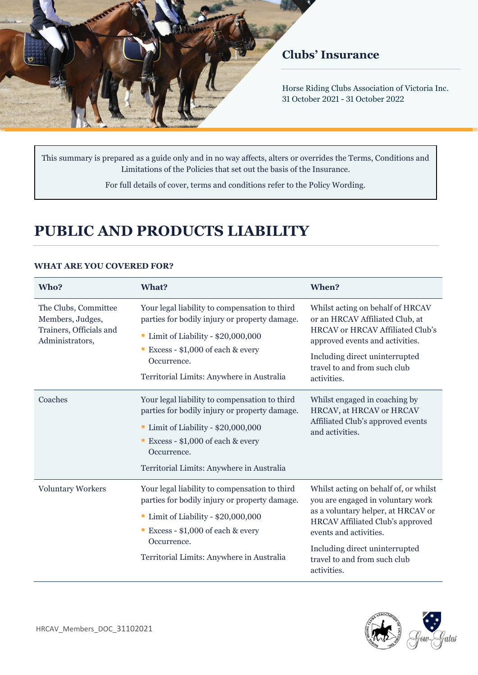

## **Clubs' Insurance**

Horse Riding Clubs Association of Victoria Inc. 31 October 2021 - 31 October 2022

This summary is prepared as a guide only and in no way affects, alters or overrides the Terms, Conditions and Limitations of the Policies that set out the basis of the Insurance.

For full details of cover, terms and conditions refer to the Policy Wording.

# **PUBLIC AND PRODUCTS LIABILITY**

| Who?                                                                                   | What?                                                                                                                                                                                                                                | When?                                                                                                                                                                                                                                                                  |
|----------------------------------------------------------------------------------------|--------------------------------------------------------------------------------------------------------------------------------------------------------------------------------------------------------------------------------------|------------------------------------------------------------------------------------------------------------------------------------------------------------------------------------------------------------------------------------------------------------------------|
| The Clubs, Committee<br>Members, Judges,<br>Trainers, Officials and<br>Administrators, | Your legal liability to compensation to third<br>parties for bodily injury or property damage.<br>Limit of Liability - \$20,000,000<br>Excess - $$1,000$ of each & every<br>Occurrence.<br>Territorial Limits: Anywhere in Australia | Whilst acting on behalf of HRCAV<br>or an HRCAV Affiliated Club, at<br><b>HRCAV</b> or <b>HRCAV</b> Affiliated Club's<br>approved events and activities.<br>Including direct uninterrupted<br>travel to and from such club<br>activities.                              |
| Coaches                                                                                | Your legal liability to compensation to third<br>parties for bodily injury or property damage.<br>Limit of Liability - \$20,000,000<br>Excess - $$1,000$ of each & every<br>Occurrence.<br>Territorial Limits: Anywhere in Australia | Whilst engaged in coaching by<br>HRCAV, at HRCAV or HRCAV<br>Affiliated Club's approved events<br>and activities.                                                                                                                                                      |
| <b>Voluntary Workers</b>                                                               | Your legal liability to compensation to third<br>parties for bodily injury or property damage.<br>Limit of Liability - \$20,000,000<br>Excess - $$1,000$ of each & every<br>Occurrence.<br>Territorial Limits: Anywhere in Australia | Whilst acting on behalf of, or whilst<br>you are engaged in voluntary work<br>as a voluntary helper, at HRCAV or<br><b>HRCAV</b> Affiliated Club's approved<br>events and activities.<br>Including direct uninterrupted<br>travel to and from such club<br>activities. |

#### **WHAT ARE YOU COVERED FOR?**

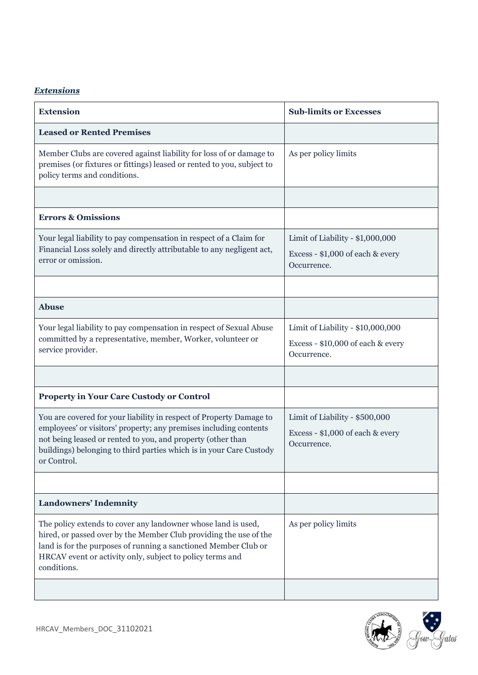## *Extensions*

| <b>Extension</b>                                                                                                                                                                                                                                                                              | <b>Sub-limits or Excesses</b>                                                         |  |
|-----------------------------------------------------------------------------------------------------------------------------------------------------------------------------------------------------------------------------------------------------------------------------------------------|---------------------------------------------------------------------------------------|--|
| <b>Leased or Rented Premises</b>                                                                                                                                                                                                                                                              |                                                                                       |  |
| Member Clubs are covered against liability for loss of or damage to<br>premises (or fixtures or fittings) leased or rented to you, subject to<br>policy terms and conditions.                                                                                                                 | As per policy limits                                                                  |  |
|                                                                                                                                                                                                                                                                                               |                                                                                       |  |
| <b>Errors &amp; Omissions</b>                                                                                                                                                                                                                                                                 |                                                                                       |  |
| Your legal liability to pay compensation in respect of a Claim for<br>Financial Loss solely and directly attributable to any negligent act,<br>error or omission.                                                                                                                             | Limit of Liability - \$1,000,000<br>Excess - \$1,000 of each & every<br>Occurrence.   |  |
| <b>Abuse</b>                                                                                                                                                                                                                                                                                  |                                                                                       |  |
| Your legal liability to pay compensation in respect of Sexual Abuse<br>committed by a representative, member, Worker, volunteer or<br>service provider.                                                                                                                                       | Limit of Liability - \$10,000,000<br>Excess - \$10,000 of each & every<br>Occurrence. |  |
|                                                                                                                                                                                                                                                                                               |                                                                                       |  |
| <b>Property in Your Care Custody or Control</b>                                                                                                                                                                                                                                               |                                                                                       |  |
| You are covered for your liability in respect of Property Damage to<br>employees' or visitors' property; any premises including contents<br>not being leased or rented to you, and property (other than<br>buildings) belonging to third parties which is in your Care Custody<br>or Control. | Limit of Liability - \$500,000<br>Excess - \$1,000 of each & every<br>Occurrence.     |  |
|                                                                                                                                                                                                                                                                                               |                                                                                       |  |
| <b>Landowners' Indemnity</b>                                                                                                                                                                                                                                                                  |                                                                                       |  |
| The policy extends to cover any landowner whose land is used,<br>hired, or passed over by the Member Club providing the use of the<br>land is for the purposes of running a sanctioned Member Club or<br>HRCAV event or activity only, subject to policy terms and<br>conditions.             | As per policy limits                                                                  |  |
|                                                                                                                                                                                                                                                                                               |                                                                                       |  |

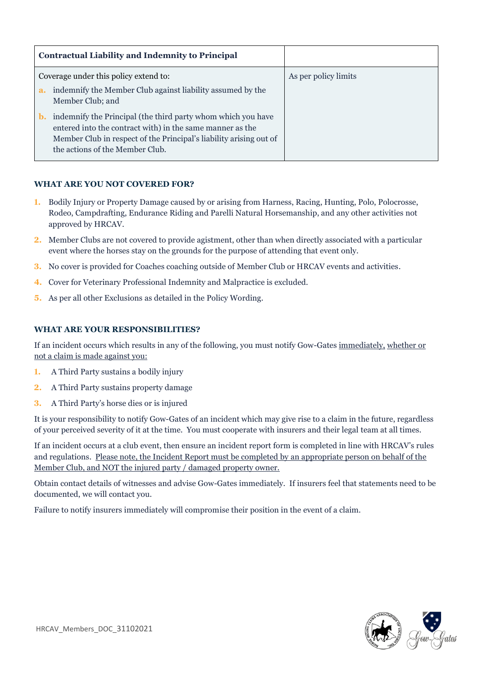| <b>Contractual Liability and Indemnity to Principal</b>                                                                                                                                                                                              |                      |
|------------------------------------------------------------------------------------------------------------------------------------------------------------------------------------------------------------------------------------------------------|----------------------|
| Coverage under this policy extend to:                                                                                                                                                                                                                | As per policy limits |
| indemnify the Member Club against liability assumed by the<br>a.<br>Member Club; and                                                                                                                                                                 |                      |
| indemnify the Principal (the third party whom which you have<br>$\mathbf{b}$ .<br>entered into the contract with) in the same manner as the<br>Member Club in respect of the Principal's liability arising out of<br>the actions of the Member Club. |                      |

### **WHAT ARE YOU NOT COVERED FOR?**

- **1.** Bodily Injury or Property Damage caused by or arising from Harness, Racing, Hunting, Polo, Polocrosse, Rodeo, Campdrafting, Endurance Riding and Parelli Natural Horsemanship, and any other activities not approved by HRCAV.
- **2.** Member Clubs are not covered to provide agistment, other than when directly associated with a particular event where the horses stay on the grounds for the purpose of attending that event only.
- **3.** No cover is provided for Coaches coaching outside of Member Club or HRCAV events and activities.
- **4.** Cover for Veterinary Professional Indemnity and Malpractice is excluded.
- **5.** As per all other Exclusions as detailed in the Policy Wording.

#### **WHAT ARE YOUR RESPONSIBILITIES?**

If an incident occurs which results in any of the following, you must notify Gow-Gates immediately, whether or not a claim is made against you:

- **1.** A Third Party sustains a bodily injury
- **2.** A Third Party sustains property damage
- **3.** A Third Party's horse dies or is injured

It is your responsibility to notify Gow-Gates of an incident which may give rise to a claim in the future, regardless of your perceived severity of it at the time. You must cooperate with insurers and their legal team at all times.

If an incident occurs at a club event, then ensure an incident report form is completed in line with HRCAV's rules and regulations. Please note, the Incident Report must be completed by an appropriate person on behalf of the Member Club, and NOT the injured party / damaged property owner.

Obtain contact details of witnesses and advise Gow-Gates immediately. If insurers feel that statements need to be documented, we will contact you.

Failure to notify insurers immediately will compromise their position in the event of a claim.

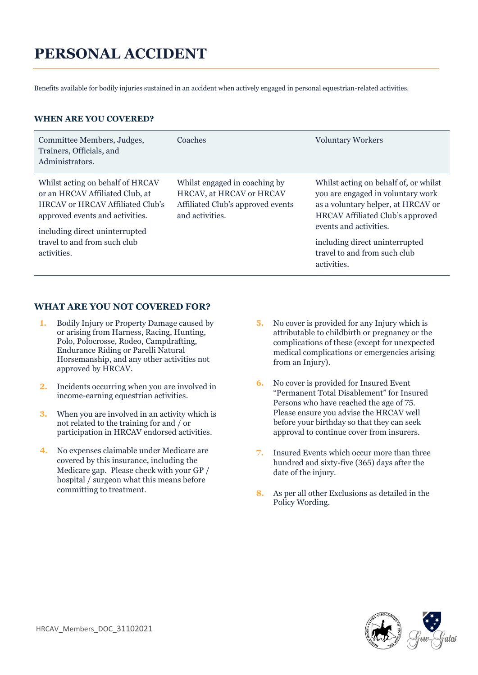# **PERSONAL ACCIDENT**

Benefits available for bodily injuries sustained in an accident when actively engaged in personal equestrian-related activities.

#### **WHEN ARE YOU COVERED?**

| Committee Members, Judges,<br>Trainers, Officials, and<br>Administrators.                                                                                                                  | Coaches                                                                                                           | <b>Voluntary Workers</b>                                                                                                                                                              |
|--------------------------------------------------------------------------------------------------------------------------------------------------------------------------------------------|-------------------------------------------------------------------------------------------------------------------|---------------------------------------------------------------------------------------------------------------------------------------------------------------------------------------|
| Whilst acting on behalf of HRCAV<br>or an HRCAV Affiliated Club, at<br><b>HRCAV</b> or <b>HRCAV</b> Affiliated Club's<br>approved events and activities.<br>including direct uninterrupted | Whilst engaged in coaching by<br>HRCAV, at HRCAV or HRCAV<br>Affiliated Club's approved events<br>and activities. | Whilst acting on behalf of, or whilst<br>you are engaged in voluntary work<br>as a voluntary helper, at HRCAV or<br><b>HRCAV</b> Affiliated Club's approved<br>events and activities. |
| travel to and from such club<br>activities.                                                                                                                                                |                                                                                                                   | including direct uninterrupted<br>travel to and from such club<br>activities.                                                                                                         |

#### **WHAT ARE YOU NOT COVERED FOR?**

- **1.** Bodily Injury or Property Damage caused by or arising from Harness, Racing, Hunting, Polo, Polocrosse, Rodeo, Campdrafting, Endurance Riding or Parelli Natural Horsemanship, and any other activities not approved by HRCAV.
- **2.** Incidents occurring when you are involved in income-earning equestrian activities.
- **3.** When you are involved in an activity which is not related to the training for and / or participation in HRCAV endorsed activities.
- **4.** No expenses claimable under Medicare are covered by this insurance, including the Medicare gap.Please check with your GP / hospital / surgeon what this means before committing to treatment.
- **5.** No cover is provided for any Injury which is attributable to childbirth or pregnancy or the complications of these (except for unexpected medical complications or emergencies arising from an Injury).
- **6.** No cover is provided for Insured Event "Permanent Total Disablement" for Insured Persons who have reached the age of 75. Please ensure you advise the HRCAV well before your birthday so that they can seek approval to continue cover from insurers.
- **7.** Insured Events which occur more than three hundred and sixty-five (365) days after the date of the injury.
- **8.** As per all other Exclusions as detailed in the Policy Wording.

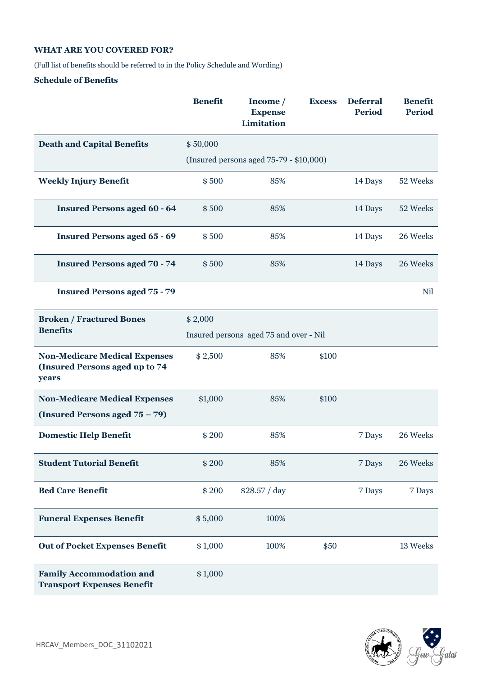#### **WHAT ARE YOU COVERED FOR?**

(Full list of benefits should be referred to in the Policy Schedule and Wording)

#### **Schedule of Benefits**

|                                                                                 | <b>Benefit</b> | Income /<br><b>Expense</b><br>Limitation | <b>Excess</b> | <b>Deferral</b><br><b>Period</b> | <b>Benefit</b><br><b>Period</b> |
|---------------------------------------------------------------------------------|----------------|------------------------------------------|---------------|----------------------------------|---------------------------------|
| <b>Death and Capital Benefits</b>                                               | \$50,000       |                                          |               |                                  |                                 |
|                                                                                 |                | (Insured persons aged 75-79 - \$10,000)  |               |                                  |                                 |
| <b>Weekly Injury Benefit</b>                                                    | \$500          | 85%                                      |               | 14 Days                          | 52 Weeks                        |
| <b>Insured Persons aged 60 - 64</b>                                             | \$500          | 85%                                      |               | 14 Days                          | 52 Weeks                        |
| <b>Insured Persons aged 65 - 69</b>                                             | \$500          | 85%                                      |               | 14 Days                          | 26 Weeks                        |
| <b>Insured Persons aged 70 - 74</b>                                             | \$500          | 85%                                      |               | 14 Days                          | 26 Weeks                        |
| <b>Insured Persons aged 75 - 79</b>                                             |                |                                          |               |                                  | Nil                             |
| <b>Broken / Fractured Bones</b>                                                 | \$2,000        |                                          |               |                                  |                                 |
| <b>Benefits</b>                                                                 |                | Insured persons aged 75 and over - Nil   |               |                                  |                                 |
| <b>Non-Medicare Medical Expenses</b><br>(Insured Persons aged up to 74<br>years | \$2,500        | 85%                                      | \$100         |                                  |                                 |
| <b>Non-Medicare Medical Expenses</b>                                            | \$1,000        | 85%                                      | \$100         |                                  |                                 |
| (Insured Persons aged 75 – 79)                                                  |                |                                          |               |                                  |                                 |
| <b>Domestic Help Benefit</b>                                                    | \$200          | 85%                                      |               | 7 Days                           | 26 Weeks                        |
| <b>Student Tutorial Benefit</b>                                                 | \$200          | 85%                                      |               | 7 Days                           | 26 Weeks                        |
| <b>Bed Care Benefit</b>                                                         | \$200          | \$28.57 / day                            |               | 7 Days                           | 7 Days                          |
| <b>Funeral Expenses Benefit</b>                                                 | \$5,000        | 100%                                     |               |                                  |                                 |
| <b>Out of Pocket Expenses Benefit</b>                                           | \$1,000        | 100%                                     | \$50          |                                  | 13 Weeks                        |
| <b>Family Accommodation and</b><br><b>Transport Expenses Benefit</b>            | \$1,000        |                                          |               |                                  |                                 |

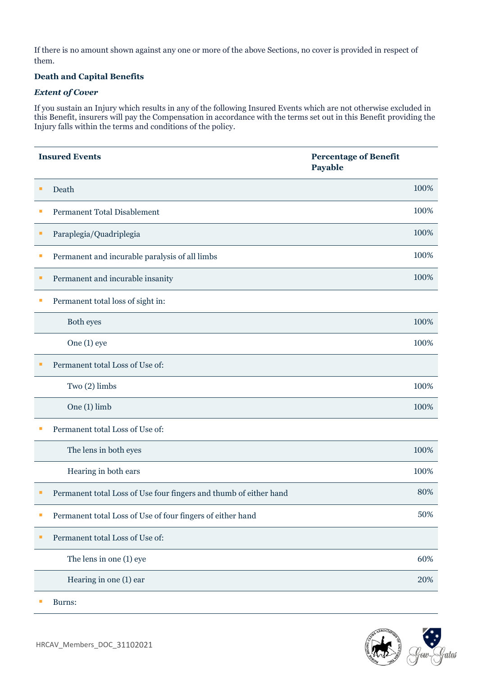If there is no amount shown against any one or more of the above Sections, no cover is provided in respect of them.

#### **Death and Capital Benefits**

#### *Extent of Cover*

If you sustain an Injury which results in any of the following Insured Events which are not otherwise excluded in this Benefit, insurers will pay the Compensation in accordance with the terms set out in this Benefit providing the Injury falls within the terms and conditions of the policy.

|    | <b>Insured Events</b>                                             | <b>Percentage of Benefit</b><br>Payable |      |
|----|-------------------------------------------------------------------|-----------------------------------------|------|
| п  | Death                                                             |                                         | 100% |
|    | Permanent Total Disablement                                       |                                         | 100% |
|    | Paraplegia/Quadriplegia                                           |                                         | 100% |
| T. | Permanent and incurable paralysis of all limbs                    |                                         | 100% |
|    | Permanent and incurable insanity                                  |                                         | 100% |
|    | Permanent total loss of sight in:                                 |                                         |      |
|    | Both eyes                                                         |                                         | 100% |
|    | One (1) eye                                                       |                                         | 100% |
|    | Permanent total Loss of Use of:                                   |                                         |      |
|    | Two (2) limbs                                                     |                                         | 100% |
|    | One (1) limb                                                      |                                         | 100% |
|    | Permanent total Loss of Use of:                                   |                                         |      |
|    | The lens in both eyes                                             |                                         | 100% |
|    | Hearing in both ears                                              |                                         | 100% |
|    | Permanent total Loss of Use four fingers and thumb of either hand |                                         | 80%  |
|    | Permanent total Loss of Use of four fingers of either hand        |                                         | 50%  |
| п  | Permanent total Loss of Use of:                                   |                                         |      |
|    | The lens in one (1) eye                                           |                                         | 60%  |
|    | Hearing in one (1) ear                                            |                                         | 20%  |

▪ Burns:

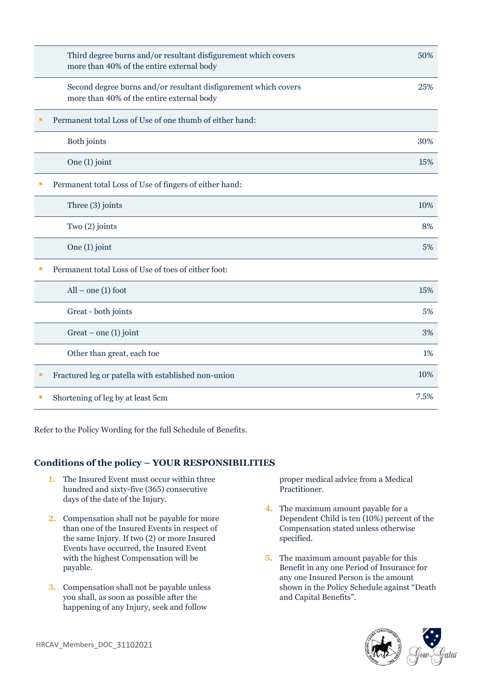| Third degree burns and/or resultant disfigurement which covers<br>more than 40% of the entire external body  | 50%  |
|--------------------------------------------------------------------------------------------------------------|------|
| Second degree burns and/or resultant disfigurement which covers<br>more than 40% of the entire external body | 25%  |
| Permanent total Loss of Use of one thumb of either hand:                                                     |      |
| Both joints                                                                                                  | 30%  |
| One (1) joint                                                                                                | 15%  |
| Permanent total Loss of Use of fingers of either hand:                                                       |      |
| Three (3) joints                                                                                             | 10%  |
| Two (2) joints                                                                                               | 8%   |
| One (1) joint                                                                                                | 5%   |
| Permanent total Loss of Use of toes of either foot:                                                          |      |
| $All$ – one (1) foot                                                                                         | 15%  |
| Great - both joints                                                                                          | 5%   |
| Great $-$ one (1) joint                                                                                      | 3%   |
| Other than great, each toe                                                                                   | 1%   |
| Fractured leg or patella with established non-union                                                          | 10%  |
| Shortening of leg by at least 5cm                                                                            | 7.5% |

Refer to the Policy Wording for the full Schedule of Benefits.

### **Conditions of the policy – YOUR RESPONSIBILITIES**

- **1.** The Insured Event must occur within three hundred and sixty-five (365) consecutive days of the date of the Injury.
- **2.** Compensation shall not be payable for more than one of the Insured Events in respect of the same Injury. If two (2) or more Insured Events have occurred, the Insured Event with the highest Compensation will be payable.
- **3.** Compensation shall not be payable unless you shall, as soon as possible after the happening of any Injury, seek and follow

proper medical advice from a Medical Practitioner.

- **4.** The maximum amount payable for a Dependent Child is ten (10%) percent of the Compensation stated unless otherwise specified.
- **5.** The maximum amount payable for this Benefit in any one Period of Insurance for any one Insured Person is the amount shown in the Policy Schedule against "Death and Capital Benefits".